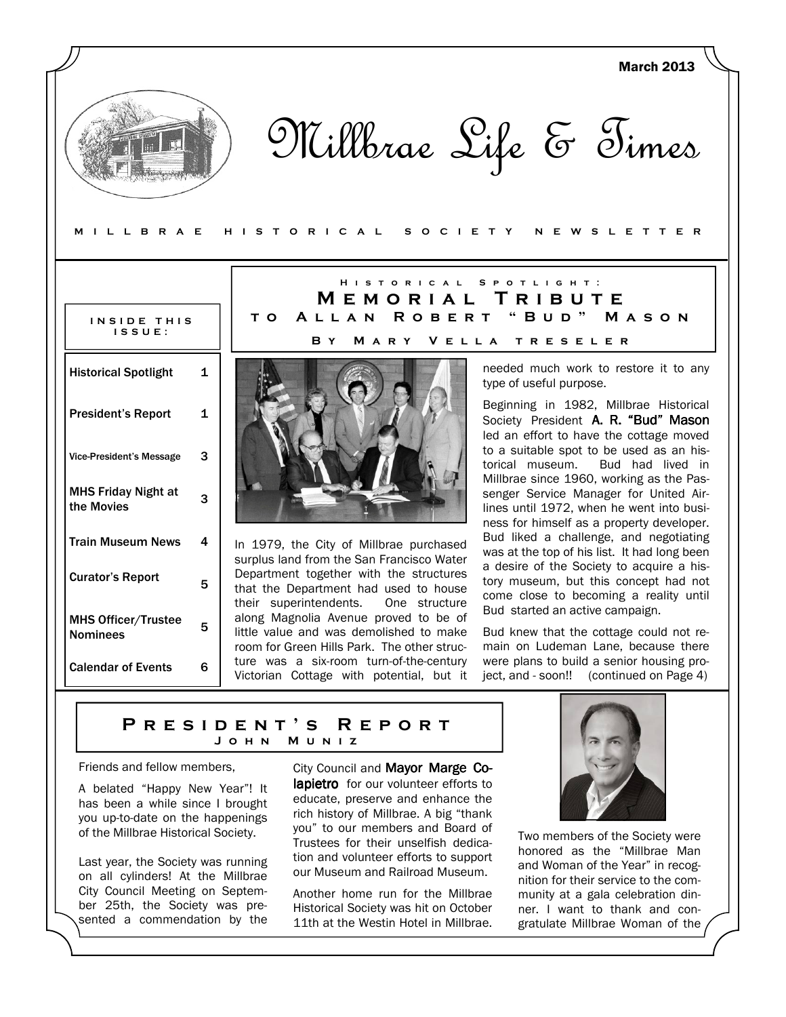|                                               |              |                                                                                                                                                                          | <b>March 2013</b>                                                                                                                                                            |  |
|-----------------------------------------------|--------------|--------------------------------------------------------------------------------------------------------------------------------------------------------------------------|------------------------------------------------------------------------------------------------------------------------------------------------------------------------------|--|
| MILLBRAE                                      |              | HISTORICAL<br>S O C I E T Y                                                                                                                                              | Millbrae Life & Times<br>N E W S L E T T E R                                                                                                                                 |  |
|                                               |              |                                                                                                                                                                          |                                                                                                                                                                              |  |
|                                               |              | <b>HISTORICAL</b><br>MEMORIAL                                                                                                                                            | SPOTLIGHT:<br>TRIBUTE                                                                                                                                                        |  |
| INSIDE THIS<br>$IS$ $S$ $U$ $E$ :             |              | <b>ROBERT</b><br>ALLAN<br>T O<br>B Y                                                                                                                                     | " B U D "<br>MASON<br>MARY VELLA TRESELER                                                                                                                                    |  |
| <b>Historical Spotlight</b>                   | $\mathbf{1}$ |                                                                                                                                                                          | needed much work to restore it to any<br>type of useful purpose.                                                                                                             |  |
| <b>President's Report</b>                     | 1            |                                                                                                                                                                          | Beginning in 1982, Millbrae Historical<br>Society President A. R. "Bud" Mason<br>led an effort to have the cottage moved                                                     |  |
| <b>Vice-President's Message</b>               | 3            |                                                                                                                                                                          | to a suitable spot to be used as an his-<br>Bud had lived in<br>torical museum.                                                                                              |  |
| <b>MHS Friday Night at</b><br>the Movies      | 3            |                                                                                                                                                                          | Millbrae since 1960, working as the Pas-<br>senger Service Manager for United Air-<br>lines until 1972, when he went into busi-<br>ness for himself as a property developer. |  |
| <b>Train Museum News</b>                      | 4            | In 1979, the City of Millbrae purchased                                                                                                                                  | Bud liked a challenge, and negotiating<br>was at the top of his list. It had long been                                                                                       |  |
| <b>Curator's Report</b>                       | 5            | surplus land from the San Francisco Water<br>Department together with the structures<br>that the Department had used to house<br>One structure<br>their superintendents. | a desire of the Society to acquire a his-<br>tory museum, but this concept had not<br>come close to becoming a reality until                                                 |  |
| <b>MHS Officer/Trustee</b><br><b>Nominees</b> | 5            | along Magnolia Avenue proved to be of<br>little value and was demolished to make<br>room for Green Hills Park. The other struc-                                          | Bud started an active campaign.<br>Bud knew that the cottage could not re-<br>main on Ludeman Lane, because there                                                            |  |
| <b>Calendar of Events</b>                     | 6            | ture was a six-room turn-of-the-century<br>Victorian Cottage with potential, but it                                                                                      | were plans to build a senior housing pro-<br>ject, and - soon!! (continued on Page 4)                                                                                        |  |

#### P R E S I D E N T ' S R E P O R T M U N I Z

Friends and fellow members,

A belated "Happy New Year"! It has been a while since I brought you up-to-date on the happenings of the Millbrae Historical Society.

Last year, the Society was running on all cylinders! At the Millbrae City Council Meeting on September 25th, the Society was presented a commendation by the

City Council and Mayor Marge Colapietro for our volunteer efforts to educate, preserve and enhance the rich history of Millbrae. A big "thank you" to our members and Board of Trustees for their unselfish dedication and volunteer efforts to support our Museum and Railroad Museum.

Another home run for the Millbrae Historical Society was hit on October 11th at the Westin Hotel in Millbrae.



Two members of the Society were honored as the "Millbrae Man and Woman of the Year" in recognition for their service to the community at a gala celebration dinner. I want to thank and congratulate Millbrae Woman of the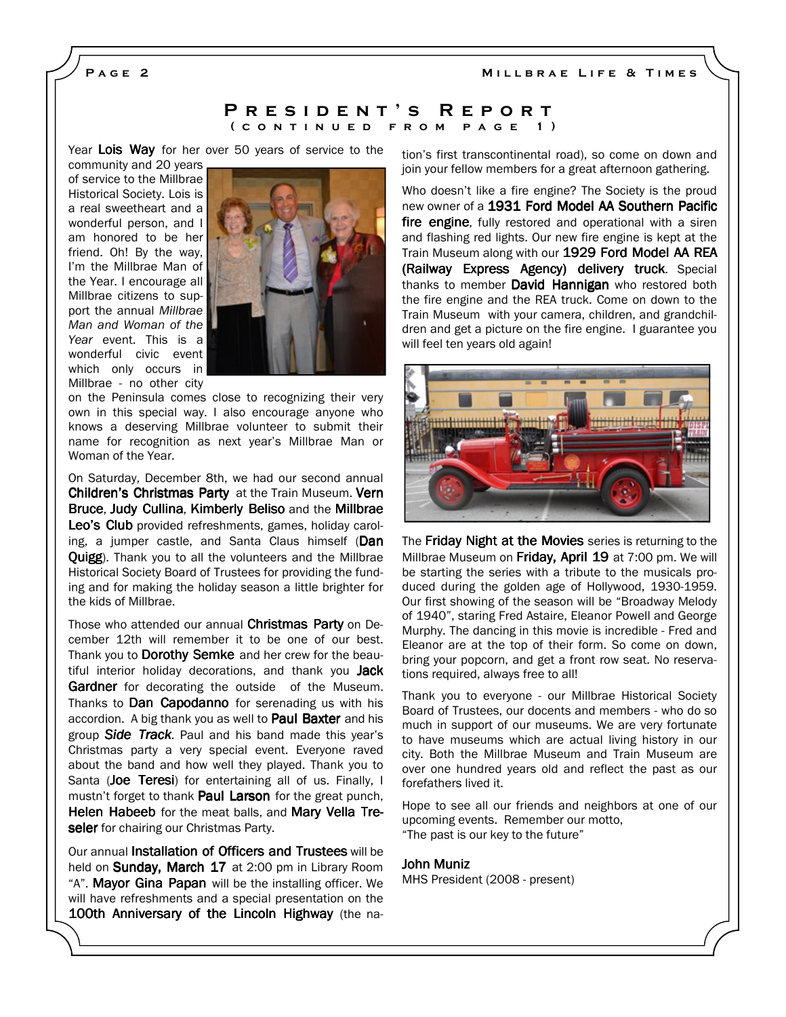MILLBRAE LIFE & TIMES

PAGE<sub>2</sub>

#### P R E S I D E N T 'S R E P O R T ( CONTINUED FROM PAGE 1)

Year Lois Way for her over 50 years of service to the

community and 20 years of service to the Millbrae Historical Society. Lois is a real sweetheart and a wonderful person, and I am honored to be her friend. Oh! By the way, I'm the Millbrae Man of the Year. I encourage all Millbrae citizens to support the annual Millbrae Man and Woman of the Year event. This is a wonderful civic event which only occurs in Millbrae - no other city



on the Peninsula comes close to recognizing their very own in this special way. I also encourage anyone who knows a deserving Millbrae volunteer to submit their name for recognition as next year's Millbrae Man or Woman of the Year.

On Saturday, December 8th, we had our second annual Children's Christmas Party at the Train Museum. Vern Bruce, Judy Cullina, Kimberly Beliso and the Millbrae Leo's Club provided refreshments, games, holiday caroling, a jumper castle, and Santa Claus himself (Dan Quigg). Thank you to all the volunteers and the Millbrae Historical Society Board of Trustees for providing the funding and for making the holiday season a little brighter for the kids of Millbrae.

Those who attended our annual Christmas Party on December 12th will remember it to be one of our best. Thank you to Dorothy Semke and her crew for the beautiful interior holiday decorations, and thank you Jack Gardner for decorating the outside of the Museum. Thanks to Dan Capodanno for serenading us with his accordion. A big thank you as well to **Paul Baxter** and his group Side Track. Paul and his band made this year's Christmas party a very special event. Everyone raved about the band and how well they played. Thank you to Santa (Joe Teresi) for entertaining all of us. Finally, I mustn't forget to thank Paul Larson for the great punch, Helen Habeeb for the meat balls, and Mary Vella Treseler for chairing our Christmas Party.

Our annual Installation of Officers and Trustees will be held on **Sunday, March 17** at 2:00 pm in Library Room "A". Mayor Gina Papan will be the installing officer. We will have refreshments and a special presentation on the 100th Anniversary of the Lincoln Highway (the nation's first transcontinental road), so come on down and join your fellow members for a great afternoon gathering.

Who doesn't like a fire engine? The Society is the proud new owner of a 1931 Ford Model AA Southern Pacific fire engine, fully restored and operational with a siren and flashing red lights. Our new fire engine is kept at the Train Museum along with our 1929 Ford Model AA REA (Railway Express Agency) delivery truck. Special thanks to member **David Hannigan** who restored both the fire engine and the REA truck. Come on down to the Train Museum with your camera, children, and grandchildren and get a picture on the fire engine. I guarantee you will feel ten years old again!



The **Friday Night at the Movies** series is returning to the Millbrae Museum on Friday, April 19 at 7:00 pm. We will be starting the series with a tribute to the musicals produced during the golden age of Hollywood, 1930-1959. Our first showing of the season will be "Broadway Melody of 1940", staring Fred Astaire, Eleanor Powell and George Murphy. The dancing in this movie is incredible - Fred and Eleanor are at the top of their form. So come on down, bring your popcorn, and get a front row seat. No reservations required, always free to all!

Thank you to everyone - our Millbrae Historical Society Board of Trustees, our docents and members - who do so much in support of our museums. We are very fortunate to have museums which are actual living history in our city. Both the Millbrae Museum and Train Museum are over one hundred years old and reflect the past as our forefathers lived it.

Hope to see all our friends and neighbors at one of our upcoming events. Remember our motto, "The past is our key to the future"

#### John Muniz John

MHS President (2008 - present)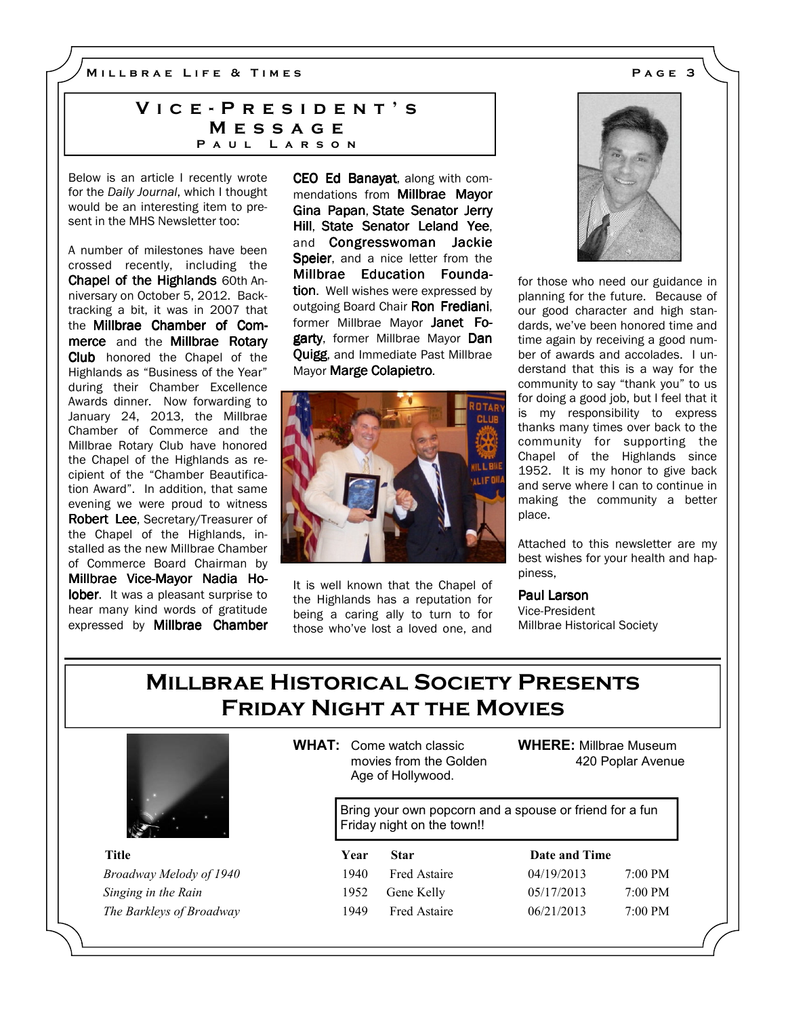M I L L B R A E L I F E & T I M E S A G E 3

## VICE - PRESIDENT'S **MESSAGE** PAUL LARSON

Below is an article I recently wrote for the Daily Journal, which I thought would be an interesting item to present in the MHS Newsletter too:

A number of milestones have been crossed recently, including the Chapel of the Highlands 60th Anniversary on October 5, 2012. Backtracking a bit, it was in 2007 that the Millbrae Chamber of Commerce and the Millbrae Rotary Club honored the Chapel of the Highlands as "Business of the Year" during their Chamber Excellence Awards dinner. Now forwarding to January 24, 2013, the Millbrae Chamber of Commerce and the Millbrae Rotary Club have honored the Chapel of the Highlands as recipient of the "Chamber Beautification Award". In addition, that same evening we were proud to witness Robert Lee, Secretary/Treasurer of the Chapel of the Highlands, installed as the new Millbrae Chamber of Commerce Board Chairman by Millbrae Vice-Mayor Nadia Holober. It was a pleasant surprise to hear many kind words of gratitude expressed by Millbrae Chamber CEO Ed Banayat, along with commendations from Millbrae Mayor Gina Papan, State Senator Jerry Hill, State Senator Leland Yee, and Congresswoman Jackie Speier, and a nice letter from the Millbrae Education Foundation. Well wishes were expressed by outgoing Board Chair Ron Frediani, former Millbrae Mayor Janet Fogarty, former Millbrae Mayor Dan Quigg, and Immediate Past Millbrae Mayor Marge Colapietro.



It is well known that the Chapel of the Highlands has a reputation for being a caring ally to turn to for those who've lost a loved one, and



for those who need our guidance in planning for the future. Because of our good character and high standards, we've been honored time and time again by receiving a good number of awards and accolades. I understand that this is a way for the community to say "thank you" to us for doing a good job, but I feel that it is my responsibility to express thanks many times over back to the community for supporting the Chapel of the Highlands since 1952. It is my honor to give back and serve where I can to continue in making the community a better place.

Attached to this newsletter are my best wishes for your health and happiness,

Paul Larson Vice-President Millbrae Historical Society

# Millbrae Historical Society Presents Friday Night at the Movies



WHAT: Come watch classic movies from the Golden Age of Hollywood.

WHERE: Millbrae Museum 420 Poplar Avenue

Bring your own popcorn and a spouse or friend for a fun Friday night on the town!!

| <b>Title</b>             | Year  | <b>Star</b>         | Date and Time |                   |
|--------------------------|-------|---------------------|---------------|-------------------|
| Broadway Melody of 1940  | 1940. | <b>Fred Astaire</b> | 04/19/2013    | $7:00 \text{ PM}$ |
| Singing in the Rain      | 1952  | Gene Kelly          | 05/17/2013    | $7:00$ PM         |
| The Barkleys of Broadway | 1949  | <b>Fred Astaire</b> | 06/21/2013    | $7:00$ PM         |

| <b>ate and Time</b> |                     |
|---------------------|---------------------|
| 19/2013             | 7:00 P <sub>N</sub> |
| 17/2013             | 7:00 PV             |
| 10110112            | $7.00 \text{m}$     |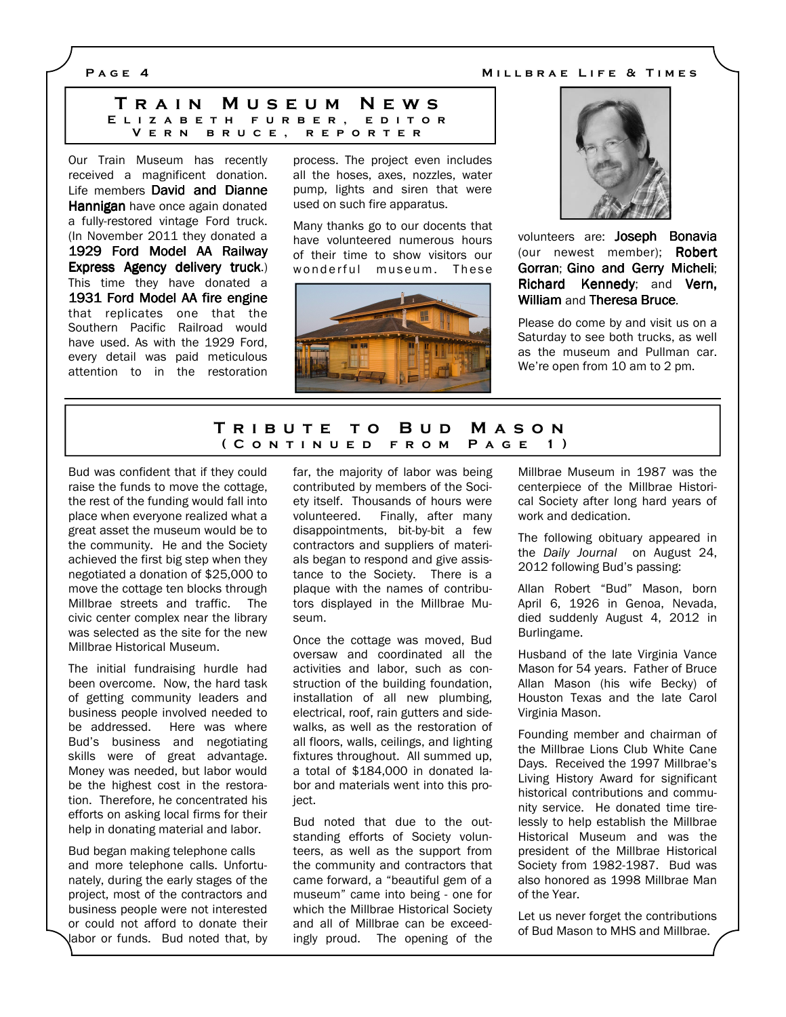P A G E 4 M I L BRAE LIFE & TIMES

| TRAIN MUSEUM NEWS        |  |
|--------------------------|--|
| ELIZABETH FURBER, EDITOR |  |
| VERN BRUCE, REPORTER     |  |

Our Train Museum has recently received a magnificent donation. Life members David and Dianne Hannigan have once again donated a fully-restored vintage Ford truck. (In November 2011 they donated a 1929 Ford Model AA Railway Express Agency delivery truck.) This time they have donated a 1931 Ford Model AA fire engine that replicates one that the Southern Pacific Railroad would have used. As with the 1929 Ford, every detail was paid meticulous attention to in the restoration process. The project even includes all the hoses, axes, nozzles, water pump, lights and siren that were used on such fire apparatus.

Many thanks go to our docents that have volunteered numerous hours of their time to show visitors our wonderful museum. These





volunteers are: Joseph Bonavia (our newest member); Robert Gorran; Gino and Gerry Micheli; Richard Kennedy; and Vern, William and Theresa Bruce.

Please do come by and visit us on a Saturday to see both trucks, as well as the museum and Pullman car. We're open from 10 am to 2 pm.

## TRIBUTE TO BUD MASON ( CONTINUED FROM PAGE 1)

Bud was confident that if they could raise the funds to move the cottage, the rest of the funding would fall into place when everyone realized what a great asset the museum would be to the community. He and the Society achieved the first big step when they negotiated a donation of \$25,000 to move the cottage ten blocks through Millbrae streets and traffic. The civic center complex near the library was selected as the site for the new Millbrae Historical Museum.

The initial fundraising hurdle had been overcome. Now, the hard task of getting community leaders and business people involved needed to be addressed. Here was where Bud's business and negotiating skills were of great advantage. Money was needed, but labor would be the highest cost in the restoration. Therefore, he concentrated his efforts on asking local firms for their help in donating material and labor.

Bud began making telephone calls and more telephone calls. Unfortunately, during the early stages of the project, most of the contractors and business people were not interested or could not afford to donate their labor or funds. Bud noted that, by far, the majority of labor was being contributed by members of the Society itself. Thousands of hours were volunteered. Finally, after many disappointments, bit-by-bit a few contractors and suppliers of materials began to respond and give assistance to the Society. There is a plaque with the names of contributors displayed in the Millbrae Museum.

Once the cottage was moved, Bud oversaw and coordinated all the activities and labor, such as construction of the building foundation, installation of all new plumbing, electrical, roof, rain gutters and sidewalks, as well as the restoration of all floors, walls, ceilings, and lighting fixtures throughout. All summed up, a total of \$184,000 in donated labor and materials went into this project.

Bud noted that due to the outstanding efforts of Society volunteers, as well as the support from the community and contractors that came forward, a "beautiful gem of a museum" came into being - one for which the Millbrae Historical Society and all of Millbrae can be exceedingly proud. The opening of the

Millbrae Museum in 1987 was the centerpiece of the Millbrae Historical Society after long hard years of work and dedication.

The following obituary appeared in the Daily Journal on August 24, 2012 following Bud's passing:

Allan Robert "Bud" Mason, born April 6, 1926 in Genoa, Nevada, died suddenly August 4, 2012 in Burlingame.

Husband of the late Virginia Vance Mason for 54 years. Father of Bruce Allan Mason (his wife Becky) of Houston Texas and the late Carol Virginia Mason.

Founding member and chairman of the Millbrae Lions Club White Cane Days. Received the 1997 Millbrae's Living History Award for significant historical contributions and community service. He donated time tirelessly to help establish the Millbrae Historical Museum and was the president of the Millbrae Historical Society from 1982-1987. Bud was also honored as 1998 Millbrae Man of the Year.

Let us never forget the contributions of Bud Mason to MHS and Millbrae.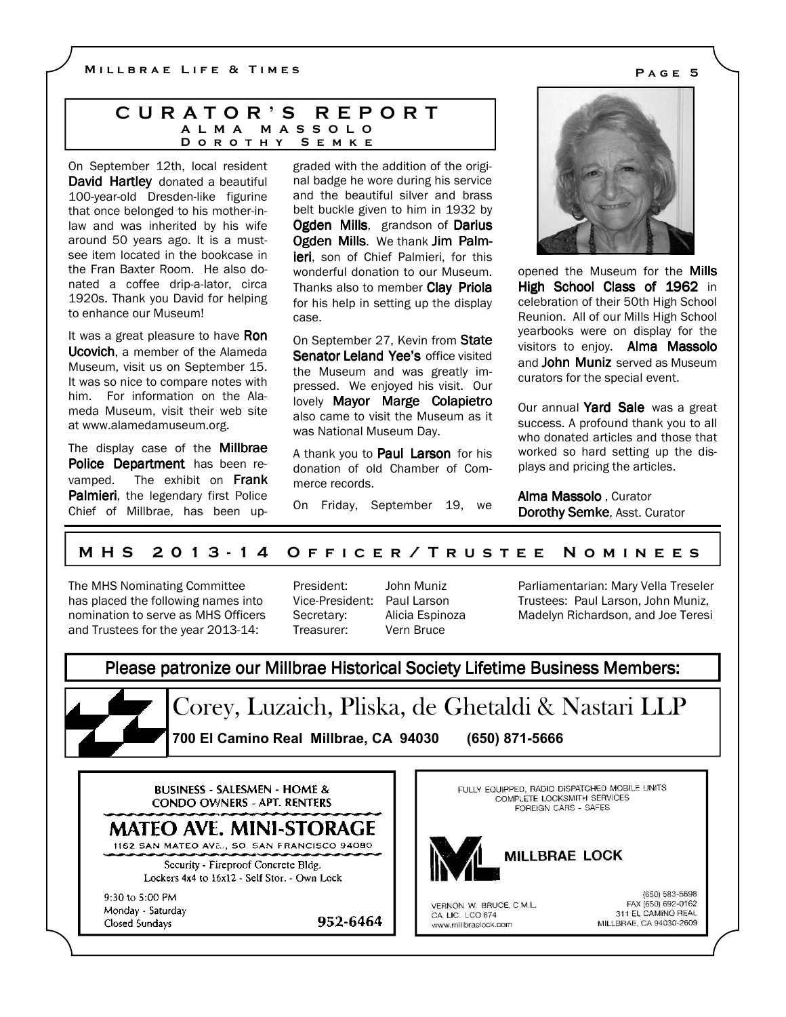MILLBRAE LIFE & TIMES **EXECUTE:** PAGE 5

#### C U R A T O R ' S R E P O R T A L M A M A S S O L O D O R O T H Y S E M K E

On September 12th, local resident David Hartley donated a beautiful 100-year-old Dresden-like figurine that once belonged to his mother-inlaw and was inherited by his wife around 50 years ago. It is a mustsee item located in the bookcase in the Fran Baxter Room. He also donated a coffee drip-a-lator, circa 1920s. Thank you David for helping to enhance our Museum!

It was a great pleasure to have Ron Ucovich, a member of the Alameda Museum, visit us on September 15. It was so nice to compare notes with him. For information on the Alameda Museum, visit their web site at www.alamedamuseum.org.

The display case of the **Millbrae** Police Department has been revamped. The exhibit on Frank Palmieri, the legendary first Police Chief of Millbrae, has been upgraded with the addition of the original badge he wore during his service and the beautiful silver and brass belt buckle given to him in 1932 by Ogden Mills, grandson of Darius Ogden Mills. We thank Jim Palm**ieri**, son of Chief Palmieri, for this wonderful donation to our Museum. Thanks also to member Clay Priola for his help in setting up the display case.

On September 27, Kevin from State Senator Leland Yee's office visited the Museum and was greatly impressed. We enjoyed his visit. Our lovely Mayor Marge Colapietro also came to visit the Museum as it was National Museum Day.

A thank you to **Paul Larson** for his donation of old Chamber of Commerce records.

On Friday, September 19, we



opened the Museum for the Mills High School Class of 1962 in celebration of their 50th High School Reunion. All of our Mills High School yearbooks were on display for the visitors to enjoy. Alma Massolo and **John Muniz** served as Museum curators for the special event.

Our annual Yard Sale was a great success. A profound thank you to all who donated articles and those that worked so hard setting up the displays and pricing the articles.

Alma Massolo , Curator Dorothy Semke, Asst. Curator

## M H S 20 1 3 - 1 4 O F F I C E R / T R U S T E E N O M I N E E S

The MHS Nominating Committee has placed the following names into nomination to serve as MHS Officers and Trustees for the year 2013-14:

Vice-President: Paul Larson Treasurer: Vern Bruce

952-6464

President: John Muniz Secretary: Alicia Espinoza Parliamentarian: Mary Vella Treseler Trustees: Paul Larson, John Muniz, Madelyn Richardson, and Joe Teresi

# Please patronize our Millbrae Historical Society Lifetime Business Members:

Corey, Luzaich, Pliska, de Ghetaldi & Nastari LLP 700 El Camino Real Millbrae, CA 94030 (650) 871-5666

**BUSINESS - SALESMEN - HOME & CONDO OWNERS - APT. RENTERS** 

MATEO AVE. MINI-STORAGE

1162 SAN MATEO AVE., SO. SAN FRANCISCO 94080 Security - Fireproof Concrete Bldg.

Lockers 4x4 to 16x12 - Self Stor. - Own Lock

9:30 to 5:00 PM Monday Saturday Closed Sundays

FULLY EQUIPPED, RADIO DISPATCHED MOBILE UNITS COMPLETE LOCKSMITH SERVICES FOREIGN CARS - SAFES



**MILLBRAE LOCK** 

VERNON W. BRUCE, C.M.L. CA LIC. LCO 674 www.millbraelock.com